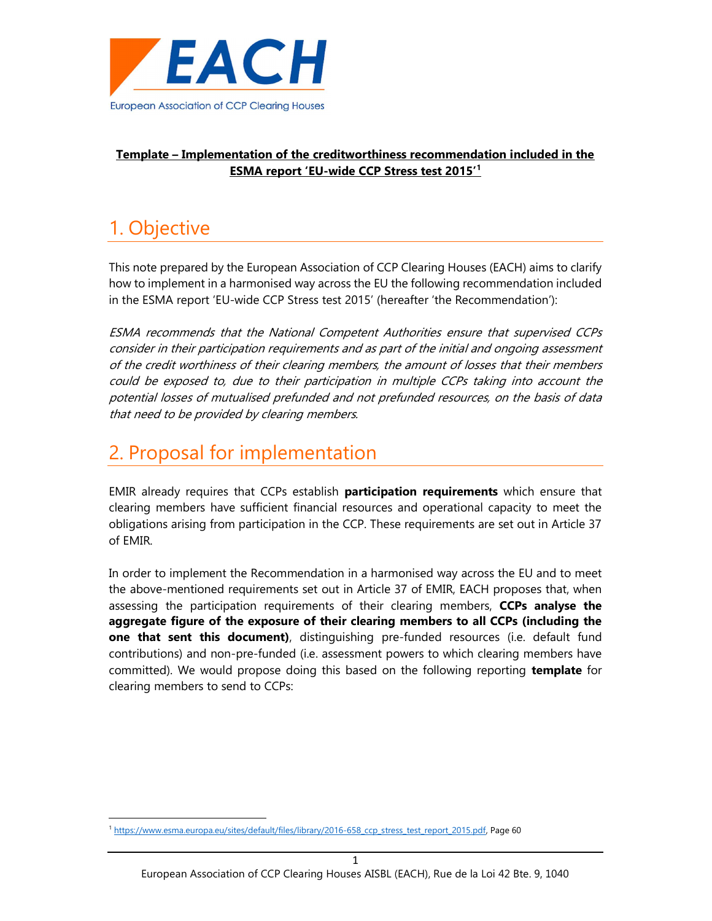

### Template – Implementation of the creditworthiness recommendation included in the ESMA report 'EU-wide CCP Stress test 2015'<sup>1</sup>

## 1. Objective

-

This note prepared by the European Association of CCP Clearing Houses (EACH) aims to clarify how to implement in a harmonised way across the EU the following recommendation included in the ESMA report 'EU-wide CCP Stress test 2015' (hereafter 'the Recommendation'):

ESMA recommends that the National Competent Authorities ensure that supervised CCPs consider in their participation requirements and as part of the initial and ongoing assessment of the credit worthiness of their clearing members, the amount of losses that their members could be exposed to, due to their participation in multiple CCPs taking into account the potential losses of mutualised prefunded and not prefunded resources, on the basis of data that need to be provided by clearing members.

# 2. Proposal for implementation

EMIR already requires that CCPs establish **participation requirements** which ensure that clearing members have sufficient financial resources and operational capacity to meet the obligations arising from participation in the CCP. These requirements are set out in Article 37 of EMIR.

In order to implement the Recommendation in a harmonised way across the EU and to meet the above-mentioned requirements set out in Article 37 of EMIR, EACH proposes that, when assessing the participation requirements of their clearing members, CCPs analyse the aggregate figure of the exposure of their clearing members to all CCPs (including the one that sent this document), distinguishing pre-funded resources (i.e. default fund contributions) and non-pre-funded (i.e. assessment powers to which clearing members have committed). We would propose doing this based on the following reporting template for clearing members to send to CCPs:

<sup>1</sup> https://www.esma.europa.eu/sites/default/files/library/2016-658 ccp\_stress\_test\_report\_2015.pdf, Page 60